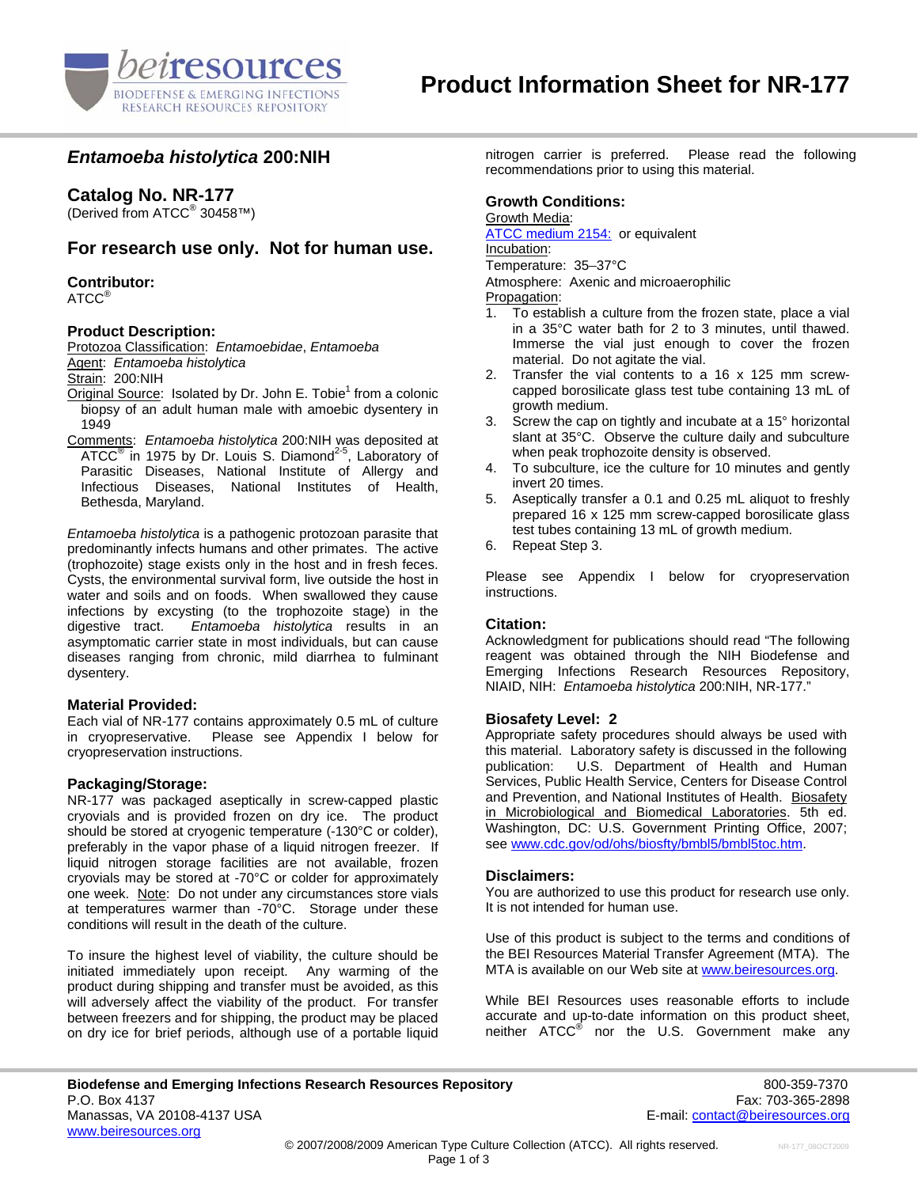

# *Entamoeba histolytica* **200:NIH**

# **Catalog No. NR-177**

(Derived from ATCC® 30458™)

## **For research use only. Not for human use.**

**Contributor:**

 $ATCC<sup>®</sup>$ 

## **Product Description:**

Protozoa Classification: *Entamoebidae*, *Entamoeba*  Agent: *Entamoeba histolytica*

Strain: 200:NIH

- Original Source: Isolated by Dr. John E. Tobie<sup>1</sup> from a colonic biopsy of an adult human male with amoebic dysentery in 1949
- Comments: *Entamoeba histolytica* 200:NIH was deposited at  $\textrm{ATCC}^{\circledast}$  in 1975 by Dr. Louis S. Diamond<sup>2-5</sup>, Laboratory of Parasitic Diseases, National Institute of Allergy and Infectious Diseases, National Institutes of Health, Bethesda, Maryland.

*Entamoeba histolytica* is a pathogenic protozoan parasite that predominantly infects humans and other primates. The active (trophozoite) stage exists only in the host and in fresh feces. Cysts, the environmental survival form, live outside the host in water and soils and on foods. When swallowed they cause infections by excysting (to the trophozoite stage) in the digestive tract. Entamoeba histolytica results in an Entamoeba histolytica results in an asymptomatic carrier state in most individuals, but can cause diseases ranging from chronic, mild diarrhea to fulminant dysentery.

## **Material Provided:**

Each vial of NR-177 contains approximately 0.5 mL of culture in cryopreservative. Please see Appendix I below for cryopreservation instructions.

#### **Packaging/Storage:**

NR-177 was packaged aseptically in screw-capped plastic cryovials and is provided frozen on dry ice. The product should be stored at cryogenic temperature (-130°C or colder), preferably in the vapor phase of a liquid nitrogen freezer. If liquid nitrogen storage facilities are not available, frozen cryovials may be stored at -70°C or colder for approximately one week. Note: Do not under any circumstances store vials at temperatures warmer than -70°C. Storage under these conditions will result in the death of the culture.

To insure the highest level of viability, the culture should be initiated immediately upon receipt. Any warming of the product during shipping and transfer must be avoided, as this will adversely affect the viability of the product. For transfer between freezers and for shipping, the product may be placed on dry ice for brief periods, although use of a portable liquid nitrogen carrier is preferred. Please read the following recommendations prior to using this material.

## **Growth Conditions:**

Growth Media: [ATCC medium 2154:](http://www.atcc.org/Attachments/3312.pdf) or equivalent Incubation: Temperature: 35–37°C Atmosphere: Axenic and microaerophilic Propagation:

- 1. To establish a culture from the frozen state, place a vial in a 35°C water bath for 2 to 3 minutes, until thawed. Immerse the vial just enough to cover the frozen material. Do not agitate the vial.
- 2. Transfer the vial contents to a 16 x 125 mm screwcapped borosilicate glass test tube containing 13 mL of growth medium.
- 3. Screw the cap on tightly and incubate at a 15° horizontal slant at 35°C. Observe the culture daily and subculture when peak trophozoite density is observed.
- 4. To subculture, ice the culture for 10 minutes and gently invert 20 times.
- 5. Aseptically transfer a 0.1 and 0.25 mL aliquot to freshly prepared 16 x 125 mm screw-capped borosilicate glass test tubes containing 13 mL of growth medium.
- 6. Repeat Step 3.

Please see Appendix I below for cryopreservation instructions.

## **Citation:**

Acknowledgment for publications should read "The following reagent was obtained through the NIH Biodefense and Emerging Infections Research Resources Repository, NIAID, NIH: *Entamoeba histolytica* 200:NIH, NR-177."

#### **Biosafety Level: 2**

Appropriate safety procedures should always be used with this material. Laboratory safety is discussed in the following<br>publication: U.S. Department of Health and Human U.S. Department of Health and Human Services, Public Health Service, Centers for Disease Control and Prevention, and National Institutes of Health. Biosafety in Microbiological and Biomedical Laboratories. 5th ed. Washington, DC: U.S. Government Printing Office, 2007; see [www.cdc.gov/od/ohs/biosfty/bmbl5/bmbl5toc.htm.](http://www.cdc.gov/od/ohs/biosfty/bmbl5/bmbl5toc.htm)

## **Disclaimers:**

You are authorized to use this product for research use only. It is not intended for human use.

Use of this product is subject to the terms and conditions of the BEI Resources Material Transfer Agreement (MTA). The MTA is available on our Web site at [www.beiresources.org](http://www.beiresources.org/).

While BEI Resources uses reasonable efforts to include accurate and up-to-date information on this product sheet, neither ATCC<sup>®</sup> nor the U.S. Government make any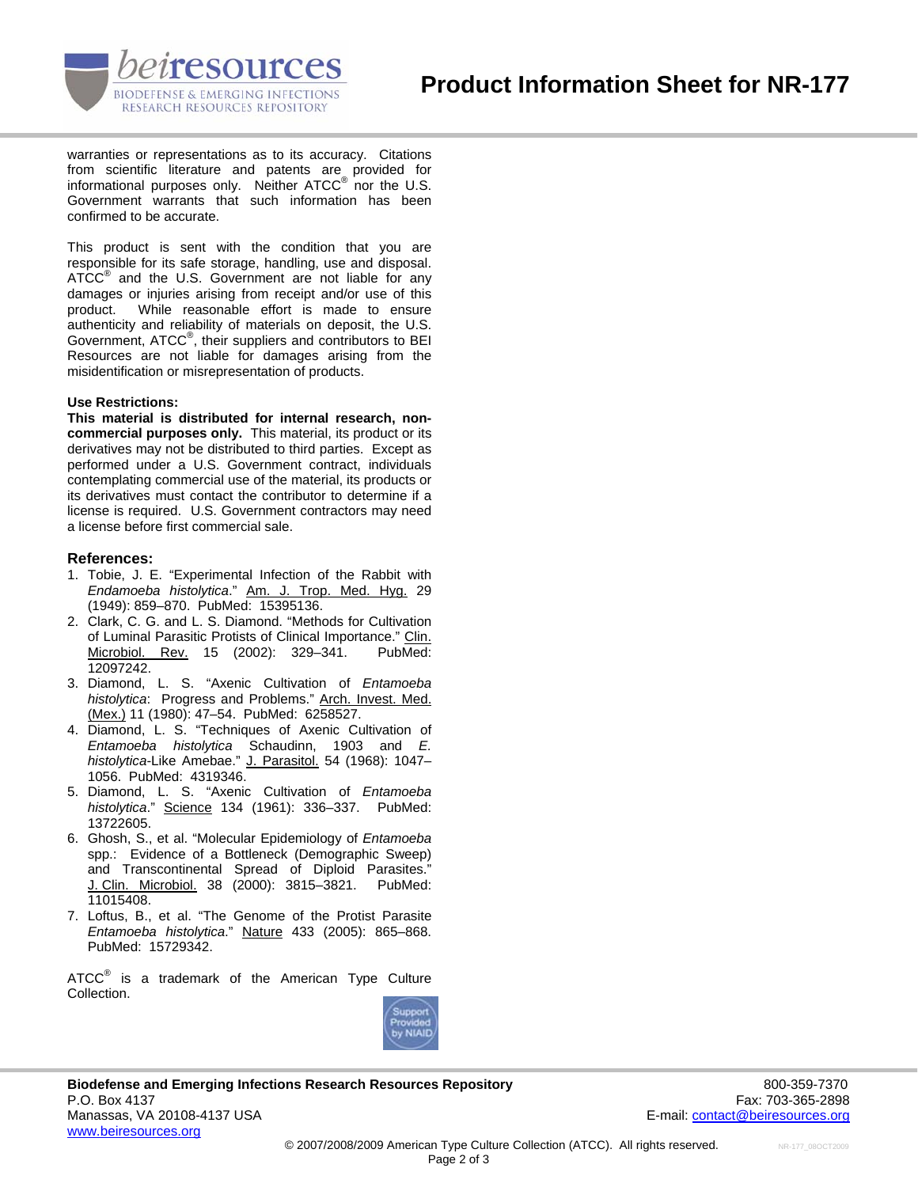

warranties or representations as to its accuracy. Citations from scientific literature and patents are provided for informational purposes only. Neither  $\tt{ATCC}^{\circledR}$  nor the U.S. Government warrants that such information has been confirmed to be accurate.

This product is sent with the condition that you are responsible for its safe storage, handling, use and disposal. ATCC<sup>®</sup> and the U.S. Government are not liable for any damages or injuries arising from receipt and/or use of this product. While reasonable effort is made to ensure While reasonable effort is made to ensure authenticity and reliability of materials on deposit, the U.S. Government, ATCC<sup>®</sup>, their suppliers and contributors to BEI Resources are not liable for damages arising from the misidentification or misrepresentation of products.

#### **Use Restrictions:**

**This material is distributed for internal research, noncommercial purposes only.** This material, its product or its derivatives may not be distributed to third parties. Except as performed under a U.S. Government contract, individuals contemplating commercial use of the material, its products or its derivatives must contact the contributor to determine if a license is required. U.S. Government contractors may need a license before first commercial sale.

#### **References:**

- 1. Tobie, J. E. "Experimental Infection of the Rabbit with *Endamoeba histolytica*." Am. J. Trop. Med. Hyg. 29 (1949): 859–870. PubMed: 15395136.
- 2. Clark, C. G. and L. S. Diamond. "Methods for Cultivation of Luminal Parasitic Protists of Clinical Importance." Clin. Microbiol. Rev. 15 (2002): 329–341. PubMed: 12097242.
- 3. Diamond, L. S. "Axenic Cultivation of *Entamoeba histolytica*: Progress and Problems." Arch. Invest. Med. (Mex.) 11 (1980): 47–54. PubMed: 6258527.
- 4. Diamond, L. S. "Techniques of Axenic Cultivation of *Entamoeba histolytica* Schaudinn, 1903 and *E. histolytica*-Like Amebae." J. Parasitol. 54 (1968): 1047– 1056. PubMed: 4319346.
- 5. Diamond, L. S. "Axenic Cultivation of *Entamoeba histolytica*." Science 134 (1961): 336–337. PubMed: 13722605.
- 6. Ghosh, S., et al. "Molecular Epidemiology of *Entamoeba*  spp.: Evidence of a Bottleneck (Demographic Sweep) and Transcontinental Spread of Diploid Parasites." J. Clin. Microbiol. 38 (2000): 3815–3821. PubMed: 11015408.
- 7. Loftus, B., et al. "The Genome of the Protist Parasite *Entamoeba histolytica*." Nature 433 (2005): 865–868. PubMed: 15729342.

ATCC $^{\circ}$  is a trademark of the American Type Culture Collection.